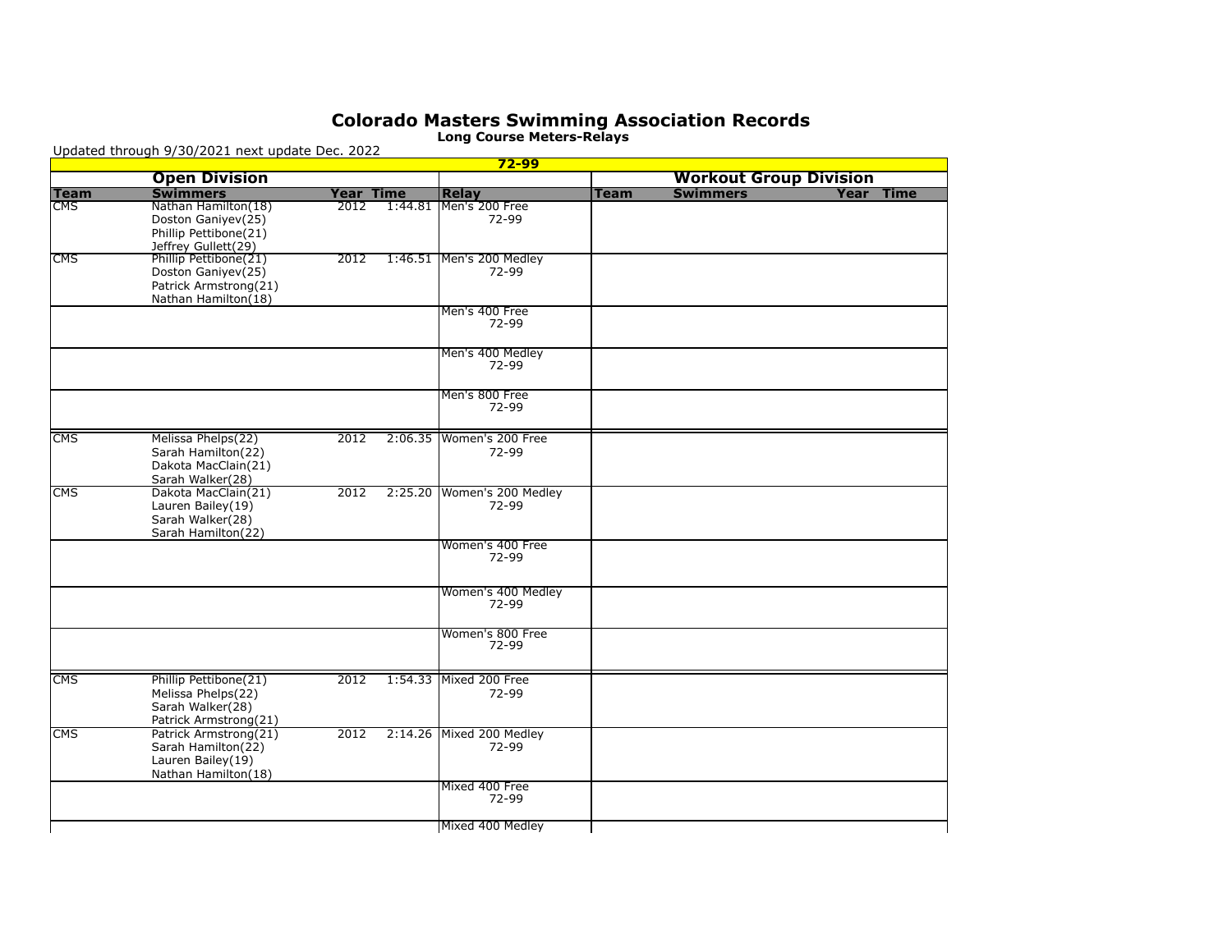## **Colorado Masters Swimming Association Records**

|             | Updated through 9/30/2021 next update Dec. 2022                                             |                  |         | $72 - 99$                           |             |                 |                               |
|-------------|---------------------------------------------------------------------------------------------|------------------|---------|-------------------------------------|-------------|-----------------|-------------------------------|
|             | <b>Open Division</b>                                                                        |                  |         |                                     |             |                 | <b>Workout Group Division</b> |
| <b>Team</b> | <b>Swimmers</b>                                                                             | <b>Year Time</b> |         | <b>Relay</b>                        | <b>Team</b> | <b>Swimmers</b> | Year Time                     |
| <b>CMS</b>  | Nathan Hamilton(18)<br>Doston Ganiyev(25)<br>Phillip Pettibone(21)<br>Jeffrey Gullett(29)   | 2012             | 1:44.81 | Men's 200 Free<br>72-99             |             |                 |                               |
| <b>CMS</b>  | Phillip Pettibone(21)<br>Doston Ganiyev(25)<br>Patrick Armstrong(21)<br>Nathan Hamilton(18) | 2012             |         | 1:46.51 Men's 200 Medley<br>72-99   |             |                 |                               |
|             |                                                                                             |                  |         | Men's 400 Free<br>72-99             |             |                 |                               |
|             |                                                                                             |                  |         | Men's 400 Medley<br>72-99           |             |                 |                               |
|             |                                                                                             |                  |         | Men's 800 Free<br>72-99             |             |                 |                               |
| <b>CMS</b>  | Melissa Phelps(22)<br>Sarah Hamilton(22)<br>Dakota MacClain(21)<br>Sarah Walker(28)         | 2012             |         | 2:06.35   Women's 200 Free<br>72-99 |             |                 |                               |
| <b>CMS</b>  | Dakota MacClain(21)<br>Lauren Bailey(19)<br>Sarah Walker(28)<br>Sarah Hamilton(22)          | 2012             |         | 2:25.20 Women's 200 Medley<br>72-99 |             |                 |                               |
|             |                                                                                             |                  |         | Women's 400 Free<br>72-99           |             |                 |                               |
|             |                                                                                             |                  |         | Women's 400 Medley<br>72-99         |             |                 |                               |
|             |                                                                                             |                  |         | Women's 800 Free<br>72-99           |             |                 |                               |
| <b>CMS</b>  | Phillip Pettibone(21)<br>Melissa Phelps(22)<br>Sarah Walker(28)<br>Patrick Armstrong(21)    | 2012             |         | 1:54.33 Mixed 200 Free<br>72-99     |             |                 |                               |
| <b>CMS</b>  | Patrick Armstrong(21)<br>Sarah Hamilton(22)<br>Lauren Bailey(19)<br>Nathan Hamilton(18)     | 2012             |         | 2:14.26 Mixed 200 Medley<br>72-99   |             |                 |                               |
|             |                                                                                             |                  |         | Mixed 400 Free<br>72-99             |             |                 |                               |
|             |                                                                                             |                  |         | Mixed 400 Medley                    |             |                 |                               |

**Long Course Meters-Relays**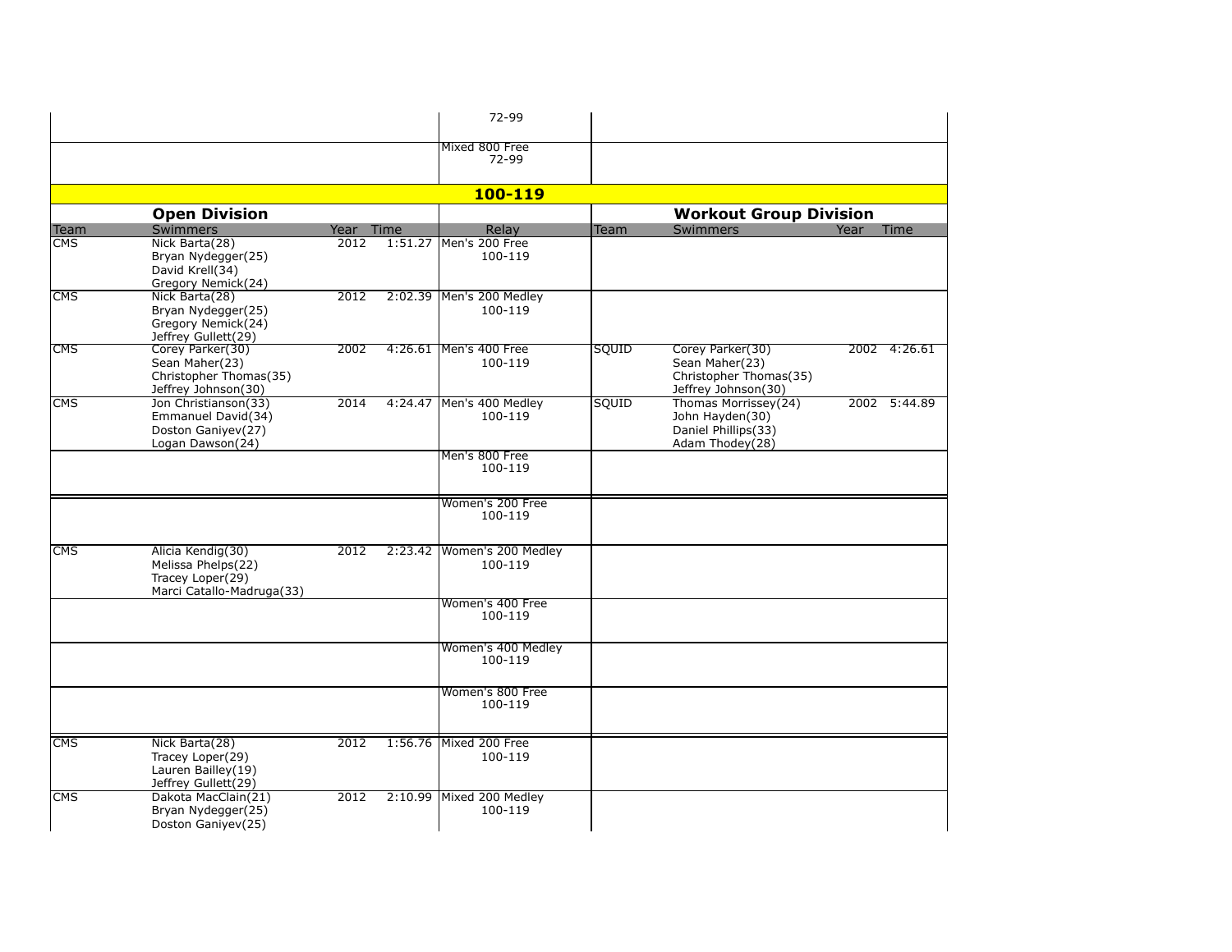|                         |                                                                                          |                   |         | 72-99                               |       |                                                                                     |              |
|-------------------------|------------------------------------------------------------------------------------------|-------------------|---------|-------------------------------------|-------|-------------------------------------------------------------------------------------|--------------|
|                         |                                                                                          |                   |         | Mixed 800 Free<br>72-99             |       |                                                                                     |              |
|                         |                                                                                          |                   |         | 100-119                             |       |                                                                                     |              |
|                         | <b>Open Division</b>                                                                     |                   |         |                                     |       | <b>Workout Group Division</b>                                                       |              |
| Team                    | Swimmers                                                                                 | Year Time         |         | Relay                               | Team  | <b>Swimmers</b>                                                                     | Year<br>Time |
| $\overline{\text{CMS}}$ | Nick Barta(28)<br>Bryan Nydegger(25)<br>David Krell(34)<br>Gregory Nemick(24)            | 2012              |         | 1:51.27 Men's 200 Free<br>100-119   |       |                                                                                     |              |
| <b>CMS</b>              | Nick Barta(28)<br>Bryan Nydegger(25)<br>Gregory Nemick(24)<br>Jeffrey Gullett(29)        | 2012              |         | 2:02.39 Men's 200 Medley<br>100-119 |       |                                                                                     |              |
| <b>CMS</b>              | Corey Parker(30)<br>Sean Maher(23)<br>Christopher Thomas(35)<br>Jeffrey Johnson(30)      | 2002              |         | 4:26.61   Men's 400 Free<br>100-119 | SQUID | Corey Parker(30)<br>Sean Maher(23)<br>Christopher Thomas(35)<br>Jeffrey Johnson(30) | 2002 4:26.61 |
| CMS                     | Jon Christianson(33)<br>Emmanuel David(34)<br>Doston Ganiyev(27)<br>Logan Dawson(24)     | 2014              |         | 4:24.47 Men's 400 Medley<br>100-119 | SQUID | Thomas Morrissey(24)<br>John Hayden(30)<br>Daniel Phillips(33)<br>Adam Thodey(28)   | 2002 5:44.89 |
|                         |                                                                                          |                   |         | lMen's 800 Free<br>100-119          |       |                                                                                     |              |
|                         |                                                                                          |                   |         | Women's 200 Free<br>100-119         |       |                                                                                     |              |
| CMS                     | Alicia Kendig(30)<br>Melissa Phelps(22)<br>Tracey Loper(29)<br>Marci Catallo-Madruga(33) | 2012              | 2:23.42 | Women's 200 Medley<br>100-119       |       |                                                                                     |              |
|                         |                                                                                          |                   |         | Women's 400 Free<br>100-119         |       |                                                                                     |              |
|                         |                                                                                          |                   |         | Women's 400 Medley<br>100-119       |       |                                                                                     |              |
|                         |                                                                                          |                   |         | Women's 800 Free<br>100-119         |       |                                                                                     |              |
| <b>CMS</b>              | Nick Barta(28)<br>Tracey Loper(29)<br>Lauren Bailley(19)<br>Jeffrey Gullett(29)          | $\overline{2012}$ |         | 1:56.76 Mixed 200 Free<br>100-119   |       |                                                                                     |              |
| <b>CMS</b>              | Dakota MacClain(21)<br>Bryan Nydegger(25)<br>Doston Ganiyev(25)                          | 2012              |         | 2:10.99 Mixed 200 Medley<br>100-119 |       |                                                                                     |              |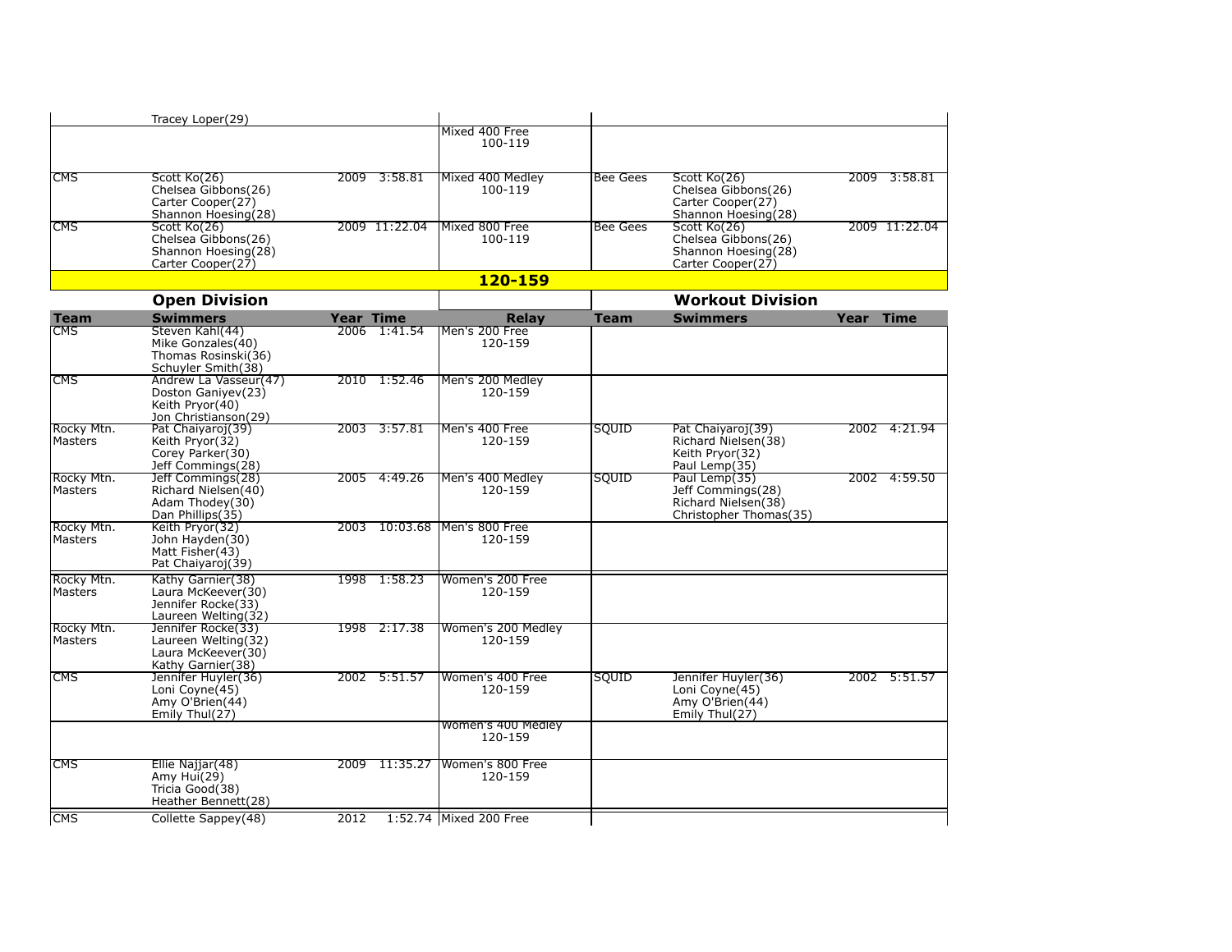|                         | Tracey Loper(29)                                                                         |                  |               |                                         |                 |                                                                                     |      |               |
|-------------------------|------------------------------------------------------------------------------------------|------------------|---------------|-----------------------------------------|-----------------|-------------------------------------------------------------------------------------|------|---------------|
|                         |                                                                                          |                  |               | Mixed 400 Free<br>100-119               |                 |                                                                                     |      |               |
| <b>CMS</b>              | Scott Ko(26)<br>Chelsea Gibbons(26)<br>Carter Cooper(27)<br>Shannon Hoesing (28)         |                  | 2009 3:58.81  | Mixed 400 Medley<br>100-119             | <b>Bee Gees</b> | Scott Ko(26)<br>Chelsea Gibbons(26)<br>Carter Cooper(27)<br>Shannon Hoesing (28)    |      | 2009 3:58.81  |
| <b>CMS</b>              | Scott Ko(26)<br>Chelsea Gibbons(26)<br>Shannon Hoesing(28)<br>Carter Cooper(27)          |                  | 2009 11:22.04 | Mixed 800 Free<br>100-119               | <b>Bee Gees</b> | Scott Ko(26)<br>Chelsea Gibbons(26)<br>Shannon Hoesing(28)<br>Carter Cooper(27)     |      | 2009 11:22.04 |
|                         |                                                                                          |                  |               | 120-159                                 |                 |                                                                                     |      |               |
|                         | <b>Open Division</b>                                                                     |                  |               |                                         |                 | <b>Workout Division</b>                                                             |      |               |
| <b>Team</b>             | <b>Swimmers</b>                                                                          | <b>Year Time</b> |               | <b>Relay</b>                            | <b>Team</b>     | <b>Swimmers</b>                                                                     | Year | <b>Time</b>   |
| $\overline{\text{CMS}}$ | Steven Kahl(44)<br>Mike Gonzales(40)<br>Thomas Rosinski(36)<br>Schuyler Smith(38)        |                  | 2006 1:41.54  | IMen's 200 Free<br>120-159              |                 |                                                                                     |      |               |
| <b>CMS</b>              | Andrew La Vasseur(47)<br>Doston Ganiyev(23)<br>Keith Pryor(40)<br>Jon Christianson(29)   |                  | 2010 1:52.46  | Men's 200 Medley<br>120-159             |                 |                                                                                     |      |               |
| Rocky Mtn.<br>Masters   | Pat Chaiyaroi(39)<br>Keith Pryor(32)<br>Corey Parker(30)<br>Jeff Commings(28)            |                  | 2003 3:57.81  | Men's 400 Free<br>120-159               | SQUID           | Pat Chaiyaroj(39)<br>Richard Nielsen(38)<br>Keith Pryor(32)<br>Paul Lemp(35)        |      | 2002 4:21.94  |
| Rocky Mtn.<br>Masters   | Jeff Commings(28)<br>Richard Nielsen(40)<br>Adam Thodey $(30)$<br>Dan Phillips(35)       | 2005             | 4:49.26       | Men's 400 Medley<br>120-159             | SQUID           | Paul Lemp(35)<br>Jeff Commings(28)<br>Richard Nielsen(38)<br>Christopher Thomas(35) |      | 2002 4:59.50  |
| Rocky Mtn.<br>Masters   | Keith Pryor(32)<br>John Hayden(30)<br>Matt Fisher(43)<br>Pat Chaiyaroj(39)               |                  |               | 2003 10:03.68 Men's 800 Free<br>120-159 |                 |                                                                                     |      |               |
| Rocky Mtn.<br>Masters   | Kathy Garnier(38)<br>Laura McKeever(30)<br>Jennifer Rocke(33)<br>Laureen Welting(32)     |                  | 1998 1:58.23  | Women's 200 Free<br>120-159             |                 |                                                                                     |      |               |
| Rocky Mtn.<br>Masters   | Jennifer Rocke(33)<br>Laureen Welting $(32)$<br>Laura McKeever(30)<br>Kathy Garnier (38) | 1998             | 2:17.38       | Women's 200 Medley<br>120-159           |                 |                                                                                     |      |               |
| <b>CMS</b>              | Jennifer Huyler(36)<br>Loni Coyne(45)<br>Amy O'Brien(44)<br>Emily Thul $(27)$            |                  | 2002 5:51.57  | Women's 400 Free<br>120-159             | <b>SQUID</b>    | Jennifer Huyler(36)<br>Loni Coyne(45)<br>Amy O'Brien(44)<br>Emily Thul $(27)$       |      | 2002 5:51.57  |
|                         |                                                                                          |                  |               | Women's 400 Medley<br>120-159           |                 |                                                                                     |      |               |
| <b>CMS</b>              | Ellie Najjar(48)<br>Amy Hui(29)<br>Tricia Good(38)<br>Heather Bennett(28)                | 2009             | 11:35.27      | lWomen's 800 Free<br>120-159            |                 |                                                                                     |      |               |
| <b>CMS</b>              | Collette Sappey(48)                                                                      | 2012             |               | 1:52.74 Mixed 200 Free                  |                 |                                                                                     |      |               |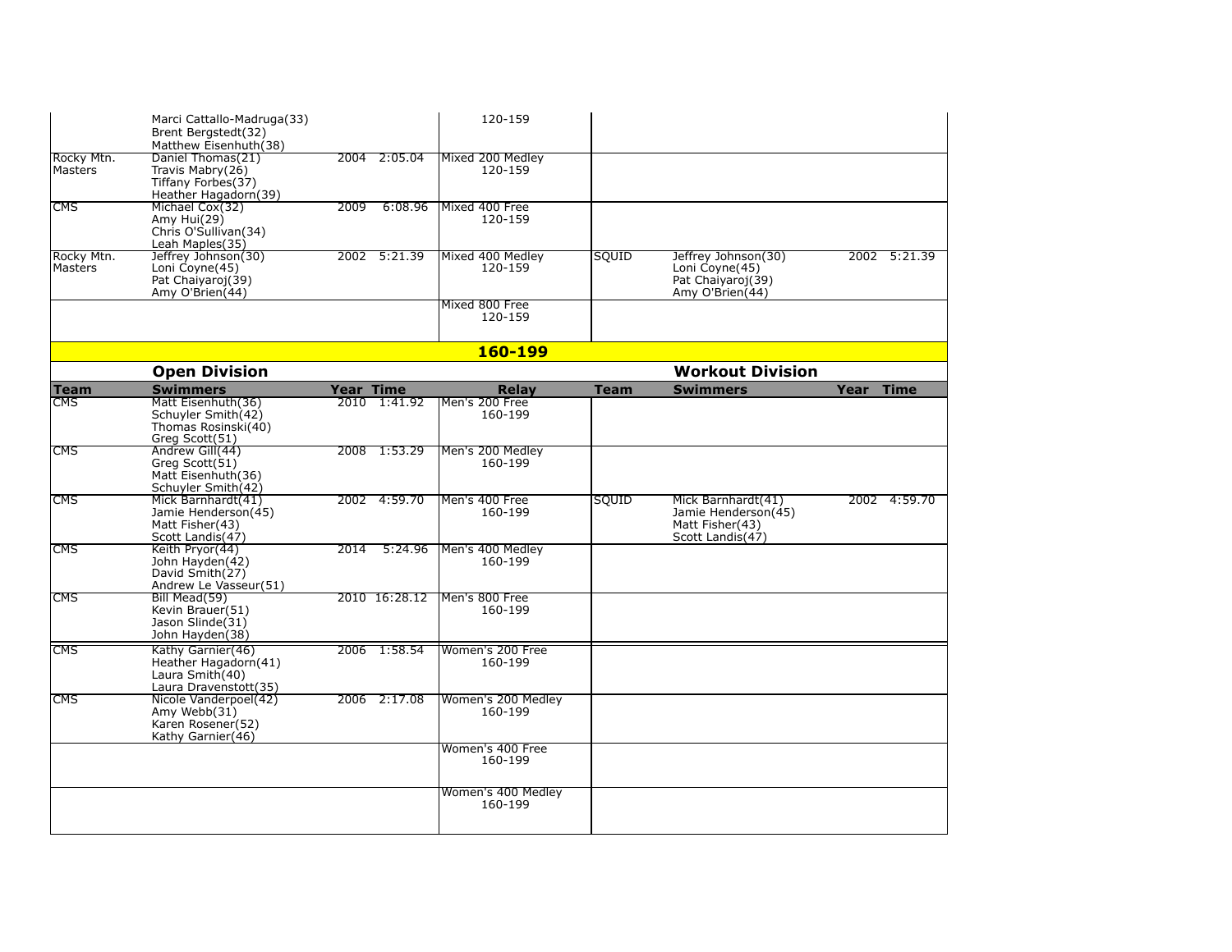|                       | Marci Cattallo-Madruga(33)<br>Brent Bergstedt(32)<br>Matthew Eisenhuth(38)            |                  |               | 120-159                                       |              |                                                                                  |           |              |
|-----------------------|---------------------------------------------------------------------------------------|------------------|---------------|-----------------------------------------------|--------------|----------------------------------------------------------------------------------|-----------|--------------|
| Rocky Mtn.<br>Masters | Daniel Thomas (21)<br>Travis Mabry(26)<br>Tiffany Forbes(37)<br>Heather Hagadorn(39)  |                  | 2004 2:05.04  | Mixed 200 Medley<br>120-159                   |              |                                                                                  |           |              |
| <b>CMS</b>            | Michael Cox(32)<br>Amy Hui(29)<br>Chris O'Sullivan(34)<br>Leah Maples(35)             | 2009             | 6:08.96       | Mixed 400 Free<br>120-159                     |              |                                                                                  |           |              |
| Rocky Mtn.<br>Masters | Jeffrey Johnson(30)<br>Loni Coyne(45)<br>Pat Chaiyaroi(39)<br>Amy O'Brien(44)         |                  | 2002 5:21.39  | Mixed 400 Medley<br>120-159<br>Mixed 800 Free | <b>SQUID</b> | Jeffrey Johnson(30)<br>Loni Coyne(45)<br>Pat Chaiyaroj(39)<br>Amy O'Brien(44)    |           | 2002 5:21.39 |
|                       |                                                                                       |                  |               | 120-159                                       |              |                                                                                  |           |              |
|                       |                                                                                       |                  |               | <u>160-199</u>                                |              |                                                                                  |           |              |
|                       | <b>Open Division</b>                                                                  |                  |               |                                               |              | <b>Workout Division</b>                                                          |           |              |
| <b>Team</b>           | <b>Swimmers</b>                                                                       | <b>Year Time</b> |               | Relay                                         | <b>Team</b>  | <b>Swimmers</b>                                                                  | Year Time |              |
| <b>CMS</b>            | Matt Eisenhuth(36)<br>Schuyler Smith(42)<br>Thomas Rosinski(40)<br>Greg Scott(51)     |                  | 2010 1:41.92  | Men's 200 Free<br>160-199                     |              |                                                                                  |           |              |
| <b>CMS</b>            | Andrew Gill(44)<br>Greg Scott(51)<br>Matt Eisenhuth(36)<br>Schuyler Smith(42)         |                  | 2008 1:53.29  | Men's 200 Medley<br>160-199                   |              |                                                                                  |           |              |
| <b>CMS</b>            | Mick Barnhardt(41)<br>Jamie Henderson(45)<br>Matt Fisher(43)<br>Scott Landis(47)      |                  | 2002 4:59.70  | Men's 400 Free<br>160-199                     | SQUID        | Mick Barnhardt(41)<br>Jamie Henderson(45)<br>Matt Fisher(43)<br>Scott Landis(47) |           | 2002 4:59.70 |
| <b>CMS</b>            | Keith Pryor(44)<br>John Hayden(42)<br>David Smith(27)<br>Andrew Le Vasseur(51)        |                  | 2014 5:24.96  | lMen's 400 Medlev<br>160-199                  |              |                                                                                  |           |              |
| <b>CMS</b>            | Bill Mead(59)<br>Kevin Brauer(51)<br>Jason Slinde(31)<br>John Hayden(38)              |                  | 2010 16:28.12 | Men's 800 Free<br>160-199                     |              |                                                                                  |           |              |
| <b>CMS</b>            | Kathy Garnier(46)<br>Heather Hagadorn(41)<br>Laura Smith(40)<br>Laura Dravenstott(35) |                  | 2006 1:58.54  | Women's 200 Free<br>160-199                   |              |                                                                                  |           |              |
| <b>CMS</b>            | Nicole Vanderpoel(42)<br>Amy Webb(31)<br>Karen Rosener(52)<br>Kathy Garnier(46)       |                  | 2006 2:17.08  | Women's 200 Medley<br>160-199                 |              |                                                                                  |           |              |
|                       |                                                                                       |                  |               | Women's 400 Free<br>160-199                   |              |                                                                                  |           |              |
|                       |                                                                                       |                  |               | Women's 400 Medley<br>160-199                 |              |                                                                                  |           |              |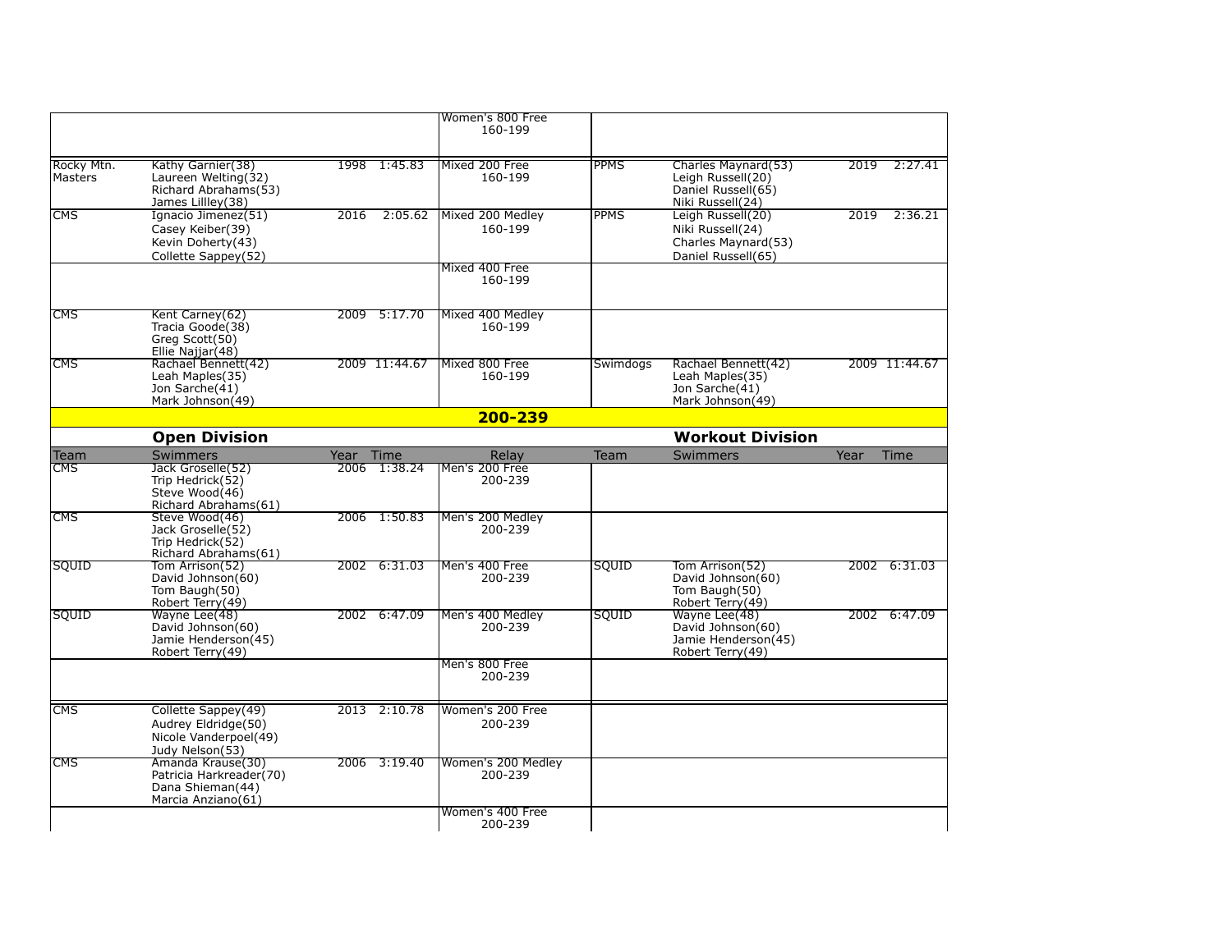|                       |                                                                                         |                 | Women's 800 Free                              |             |                                                                                    |      |               |
|-----------------------|-----------------------------------------------------------------------------------------|-----------------|-----------------------------------------------|-------------|------------------------------------------------------------------------------------|------|---------------|
|                       |                                                                                         |                 | 160-199                                       |             |                                                                                    |      |               |
|                       |                                                                                         |                 |                                               |             |                                                                                    |      |               |
| Rocky Mtn.<br>Masters | Kathy Garnier (38)<br>Laureen Welting(32)<br>Richard Abrahams (53)<br>James Lillley(38) | 1998 1:45.83    | Mixed 200 Free<br>160-199                     | <b>PPMS</b> | Charles Maynard(53)<br>Leigh Russell(20)<br>Daniel Russell(65)<br>Niki Russell(24) | 2019 | 2:27.41       |
| <b>CMS</b>            | Ignacio Jimenez(51)<br>Casey Keiber(39)<br>Kevin Doherty(43)<br>Collette Sappey(52)     | 2016<br>2:05.62 | Mixed 200 Medley<br>160-199<br>Mixed 400 Free | <b>PPMS</b> | Leigh Russell(20)<br>Niki Russell(24)<br>Charles Maynard(53)<br>Daniel Russell(65) | 2019 | 2:36.21       |
|                       |                                                                                         |                 | 160-199                                       |             |                                                                                    |      |               |
| <b>CMS</b>            | Kent Carney(62)<br>Tracia Goode(38)<br>Greg Scott(50)<br>Ellie Najjar(48)               | 2009 5:17.70    | Mixed 400 Medley<br>160-199                   |             |                                                                                    |      |               |
| <b>CMS</b>            | Rachael Bennett(42)<br>Leah Maples(35)<br>Jon Sarche(41)<br>Mark Johnson(49)            | 2009 11:44.67   | Mixed 800 Free<br>160-199                     | Swimdogs    | Rachael Bennett(42)<br>Leah Maples(35)<br>Jon Sarche(41)<br>Mark Johnson(49)       |      | 2009 11:44.67 |
|                       |                                                                                         |                 | 200-239                                       |             |                                                                                    |      |               |
|                       | <b>Open Division</b>                                                                    |                 |                                               |             | <b>Workout Division</b>                                                            |      |               |
| Team                  | Swimmers                                                                                | Year Time       | Relay                                         | Team        | <b>Swimmers</b>                                                                    | Year | <b>Time</b>   |
| <b>CMS</b>            | Jack Groselle(52)<br>Trip Hedrick(52)<br>Steve Wood(46)<br>Richard Abrahams(61)         | 2006 1:38.24    | Men's 200 Free<br>200-239                     |             |                                                                                    |      |               |
| <b>CMS</b>            | Steve Wood(46)<br>Jack Groselle(52)<br>Trip Hedrick(52)<br>Richard Abrahams(61)         | 2006 1:50.83    | Men's 200 Medley<br>200-239                   |             |                                                                                    |      |               |
| <b>SQUID</b>          | Tom Arrison(52)<br>David Johnson(60)<br>Tom Baugh(50)<br>Robert Terry(49)               | 2002 6:31.03    | Men's 400 Free<br>200-239                     | SQUID       | Tom Arrison(52)<br>David Johnson(60)<br>Tom Baugh(50)<br>Robert Terry(49)          |      | 2002 6:31.03  |
| SQUID                 | Wayne Lee(48)<br>David Johnson(60)<br>Jamie Henderson(45)<br>Robert Terry(49)           | 2002 6:47.09    | Men's 400 Medlev<br>200-239                   | SQUID       | Wayne Lee(48)<br>David Johnson(60)<br>Jamie Henderson(45)<br>Robert Terry(49)      |      | 2002 6:47.09  |
|                       |                                                                                         |                 | Men's 800 Free<br>200-239                     |             |                                                                                    |      |               |
| <b>CMS</b>            | Collette Sappey(49)<br>Audrey Eldridge(50)<br>Nicole Vanderpoel(49)<br>Judy Nelson(53)  | 2013 2:10.78    | Women's 200 Free<br>200-239                   |             |                                                                                    |      |               |
| <b>CMS</b>            | Amanda Krause(30)<br>Patricia Harkreader(70)<br>Dana Shieman(44)<br>Marcia Anziano(61)  | 2006 3:19.40    | Women's 200 Medley<br>200-239                 |             |                                                                                    |      |               |
|                       |                                                                                         |                 | Women's 400 Free<br>200-239                   |             |                                                                                    |      |               |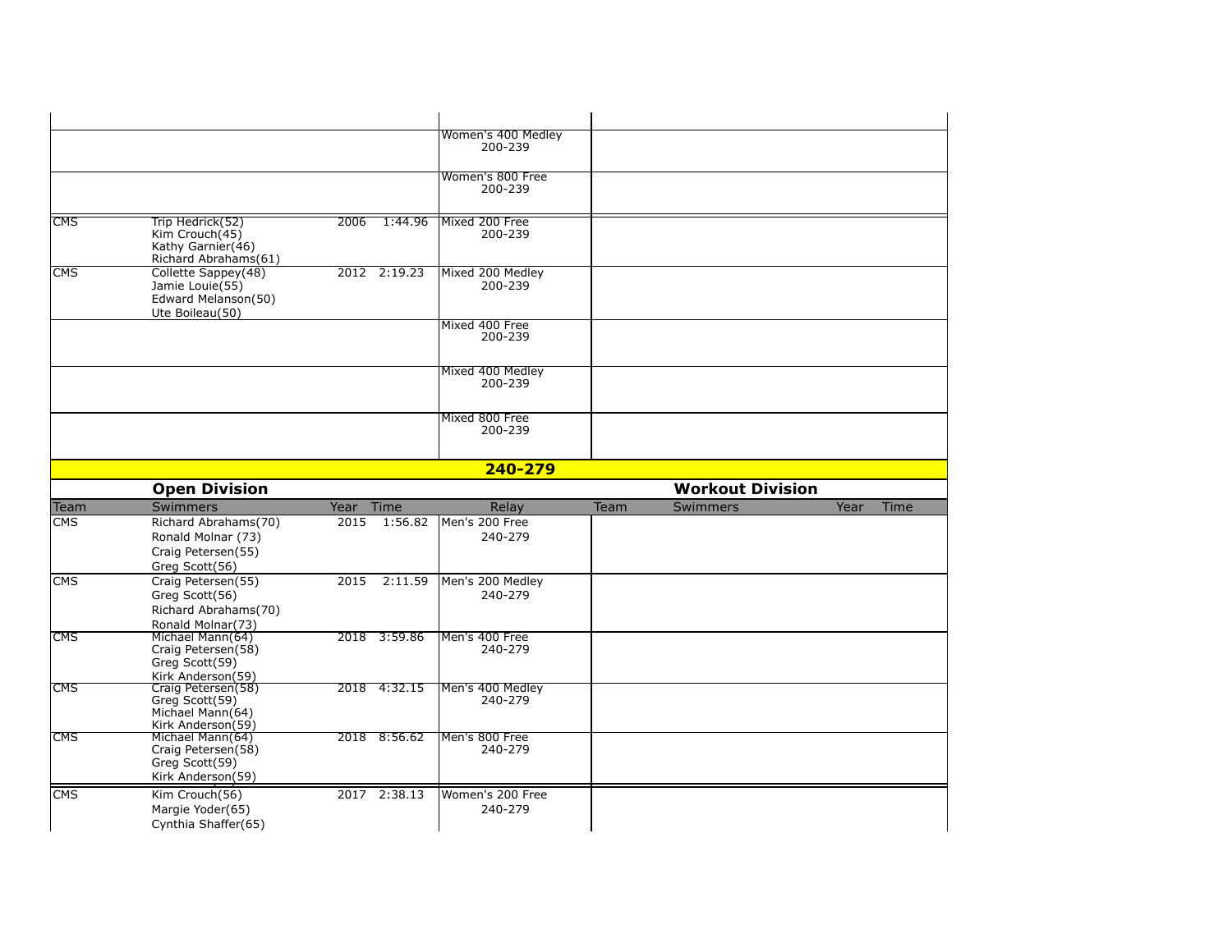|            |                                         |                 | Women's 400 Medley          |                         |                     |
|------------|-----------------------------------------|-----------------|-----------------------------|-------------------------|---------------------|
|            |                                         |                 | 200-239                     |                         |                     |
|            |                                         |                 |                             |                         |                     |
|            |                                         |                 | Women's 800 Free            |                         |                     |
|            |                                         |                 | 200-239                     |                         |                     |
|            |                                         |                 |                             |                         |                     |
| <b>CMS</b> | Trip Hedrick(52)                        | 2006<br>1:44.96 | Mixed 200 Free              |                         |                     |
|            | Kim Crouch(45)                          |                 | 200-239                     |                         |                     |
|            | Kathy Garnier(46)                       |                 |                             |                         |                     |
|            | Richard Abrahams(61)                    |                 |                             |                         |                     |
| <b>CMS</b> | Collette Sappey(48)                     | 2012 2:19.23    | Mixed 200 Medley            |                         |                     |
|            | Jamie Louie(55)                         |                 | 200-239                     |                         |                     |
|            | Edward Melanson(50)                     |                 |                             |                         |                     |
|            | Ute Boileau(50)                         |                 | Mixed 400 Free              |                         |                     |
|            |                                         |                 | 200-239                     |                         |                     |
|            |                                         |                 |                             |                         |                     |
|            |                                         |                 |                             |                         |                     |
|            |                                         |                 | Mixed 400 Medley<br>200-239 |                         |                     |
|            |                                         |                 |                             |                         |                     |
|            |                                         |                 |                             |                         |                     |
|            |                                         |                 | Mixed 800 Free              |                         |                     |
|            |                                         |                 | 200-239                     |                         |                     |
|            |                                         |                 |                             |                         |                     |
|            |                                         |                 | 240-279                     |                         |                     |
|            |                                         |                 |                             | <b>Workout Division</b> |                     |
|            | <b>Open Division</b>                    |                 |                             |                         |                     |
| Team       | Swimmers                                | Year Time       | Relay                       | Team<br>Swimmers        | Year<br><b>Time</b> |
| <b>CMS</b> |                                         |                 |                             |                         |                     |
|            | Richard Abrahams(70)                    | 2015 1:56.82    | Men's 200 Free              |                         |                     |
|            | Ronald Molnar (73)                      |                 | 240-279                     |                         |                     |
|            | Craig Petersen(55)                      |                 |                             |                         |                     |
|            | Greg Scott(56)                          |                 |                             |                         |                     |
| <b>CMS</b> | Craig Petersen(55)                      | 2015<br>2:11.59 | Men's 200 Medley            |                         |                     |
|            | Greg Scott(56)                          |                 | 240-279                     |                         |                     |
|            | Richard Abrahams(70)                    |                 |                             |                         |                     |
|            | Ronald Molnar(73)                       |                 |                             |                         |                     |
| <b>CMS</b> | Michael Mann(64)                        | 2018 3:59.86    | Men's 400 Free              |                         |                     |
|            | Craig Petersen(58)                      |                 | 240-279                     |                         |                     |
|            | Greg Scott(59)                          |                 |                             |                         |                     |
|            | Kirk Anderson(59)                       |                 |                             |                         |                     |
| <b>CMS</b> | Craig Petersen(58)                      | 2018 4:32.15    | Men's 400 Medley<br>240-279 |                         |                     |
|            | Greg Scott(59)<br>Michael Mann(64)      |                 |                             |                         |                     |
|            | Kirk Anderson(59)                       |                 |                             |                         |                     |
| <b>CMS</b> | Michael Mann(64)                        | 2018 8:56.62    | Men's 800 Free              |                         |                     |
|            | Craig Petersen(58)                      |                 | 240-279                     |                         |                     |
|            | Greg Scott(59)                          |                 |                             |                         |                     |
|            | Kirk Anderson(59)                       |                 |                             |                         |                     |
| <b>CMS</b> | Kim Crouch(56)                          | 2017 2:38.13    | Women's 200 Free            |                         |                     |
|            | Margie Yoder(65)<br>Cynthia Shaffer(65) |                 | 240-279                     |                         |                     |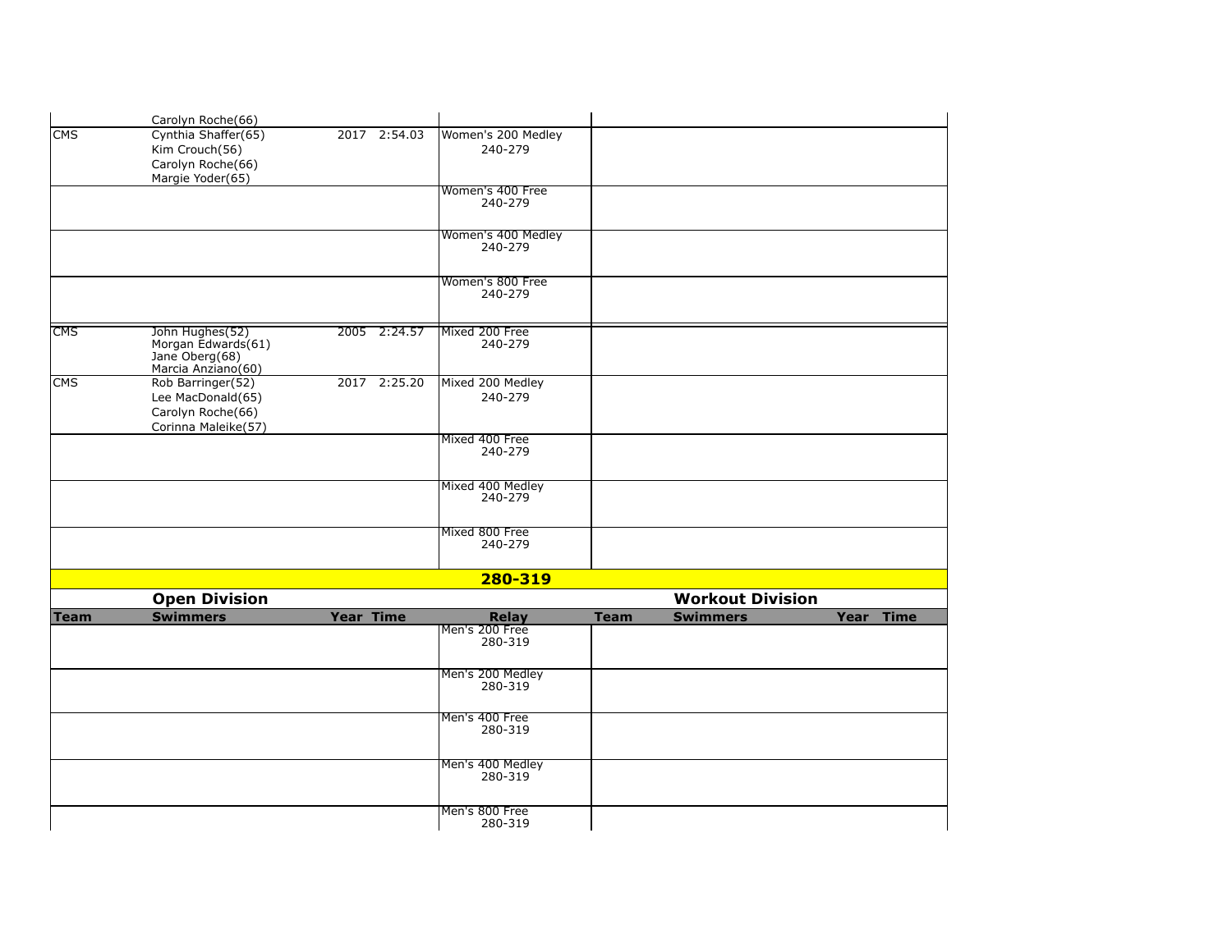|            | Carolyn Roche(66)                                                                  |                  |                               |             |                         |           |  |
|------------|------------------------------------------------------------------------------------|------------------|-------------------------------|-------------|-------------------------|-----------|--|
| <b>CMS</b> | Cynthia Shaffer(65)<br>Kim Crouch(56)<br>Carolyn Roche(66)<br>Margie Yoder(65)     | 2017 2:54.03     | Women's 200 Medley<br>240-279 |             |                         |           |  |
|            |                                                                                    |                  | Women's 400 Free<br>240-279   |             |                         |           |  |
|            |                                                                                    |                  | Women's 400 Medley<br>240-279 |             |                         |           |  |
|            |                                                                                    |                  | Women's 800 Free<br>240-279   |             |                         |           |  |
| <b>CMS</b> | John Hughes(52)<br>Morgan Edwards(61)<br>Jane Oberg(68)<br>Marcia Anziano(60)      | 2005 2:24.57     | Mixed 200 Free<br>240-279     |             |                         |           |  |
| <b>CMS</b> | Rob Barringer(52)<br>Lee MacDonald(65)<br>Carolyn Roche(66)<br>Corinna Maleike(57) | 2017 2:25.20     | Mixed 200 Medley<br>240-279   |             |                         |           |  |
|            |                                                                                    |                  | Mixed 400 Free<br>240-279     |             |                         |           |  |
|            |                                                                                    |                  | Mixed 400 Medley<br>240-279   |             |                         |           |  |
|            |                                                                                    |                  | Mixed 800 Free<br>240-279     |             |                         |           |  |
|            |                                                                                    |                  | 280-319                       |             |                         |           |  |
|            | <b>Open Division</b>                                                               |                  |                               |             | <b>Workout Division</b> |           |  |
| Team       | <b>Swimmers</b>                                                                    | <b>Year Time</b> | <b>Relay</b>                  | <b>Team</b> | <b>Swimmers</b>         | Year Time |  |
|            |                                                                                    |                  | Men's 200 Free<br>280-319     |             |                         |           |  |
|            |                                                                                    |                  | Men's 200 Medley<br>280-319   |             |                         |           |  |
|            |                                                                                    |                  | Men's 400 Free<br>280-319     |             |                         |           |  |
|            |                                                                                    |                  | Men's 400 Medley<br>280-319   |             |                         |           |  |
|            |                                                                                    |                  | Men's 800 Free<br>280-319     |             |                         |           |  |